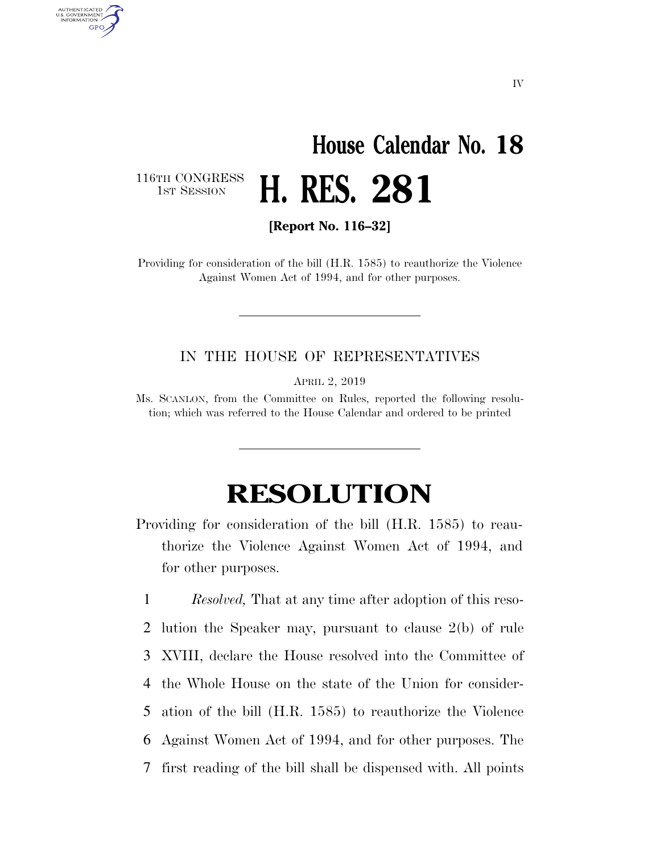## **House Calendar No. 18**  1ST SESSION **H. RES. 281**

116TH CONGRESS<br>1st Session

AUTHENTICATED<br>U.S. GOVERNMENT<br>INFORMATION GPO

**[Report No. 116–32]** 

Providing for consideration of the bill (H.R. 1585) to reauthorize the Violence Against Women Act of 1994, and for other purposes.

## IN THE HOUSE OF REPRESENTATIVES

APRIL 2, 2019

Ms. SCANLON, from the Committee on Rules, reported the following resolution; which was referred to the House Calendar and ordered to be printed

## **RESOLUTION**

Providing for consideration of the bill (H.R. 1585) to reauthorize the Violence Against Women Act of 1994, and for other purposes.

 *Resolved,* That at any time after adoption of this reso- lution the Speaker may, pursuant to clause 2(b) of rule XVIII, declare the House resolved into the Committee of the Whole House on the state of the Union for consider- ation of the bill (H.R. 1585) to reauthorize the Violence Against Women Act of 1994, and for other purposes. The first reading of the bill shall be dispensed with. All points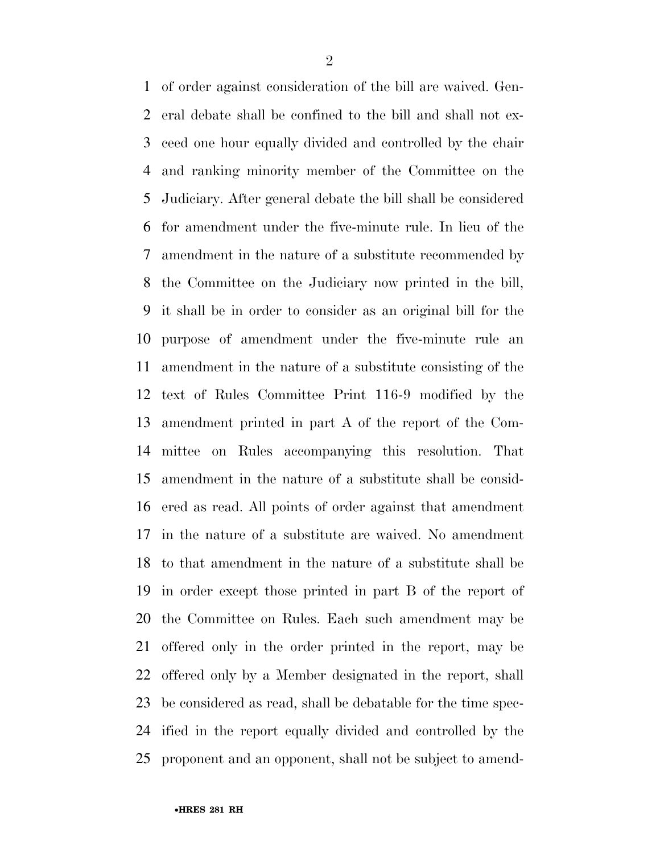of order against consideration of the bill are waived. Gen- eral debate shall be confined to the bill and shall not ex- ceed one hour equally divided and controlled by the chair and ranking minority member of the Committee on the Judiciary. After general debate the bill shall be considered for amendment under the five-minute rule. In lieu of the amendment in the nature of a substitute recommended by the Committee on the Judiciary now printed in the bill, it shall be in order to consider as an original bill for the purpose of amendment under the five-minute rule an amendment in the nature of a substitute consisting of the text of Rules Committee Print 116-9 modified by the amendment printed in part A of the report of the Com- mittee on Rules accompanying this resolution. That amendment in the nature of a substitute shall be consid- ered as read. All points of order against that amendment in the nature of a substitute are waived. No amendment to that amendment in the nature of a substitute shall be in order except those printed in part B of the report of the Committee on Rules. Each such amendment may be offered only in the order printed in the report, may be offered only by a Member designated in the report, shall be considered as read, shall be debatable for the time spec- ified in the report equally divided and controlled by the proponent and an opponent, shall not be subject to amend-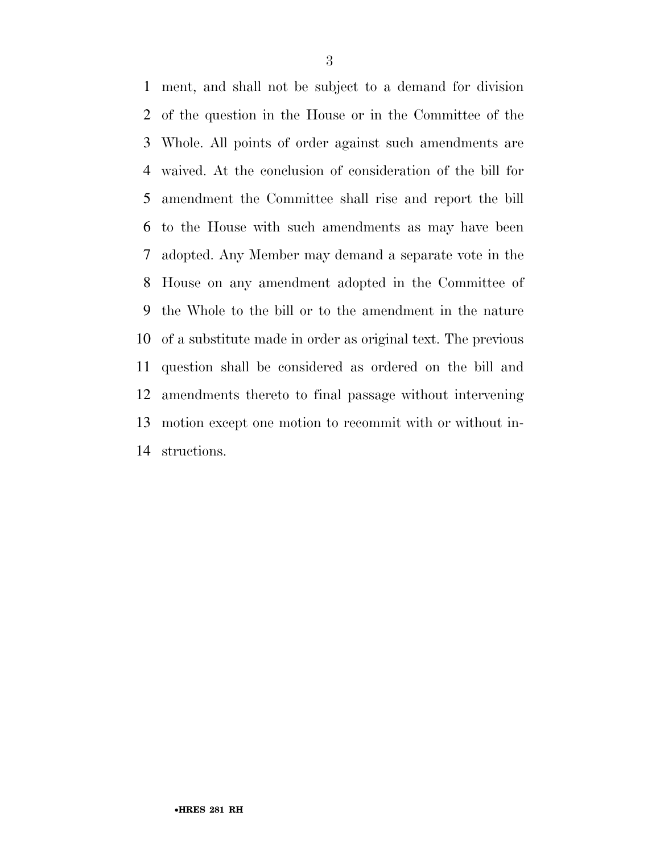ment, and shall not be subject to a demand for division of the question in the House or in the Committee of the Whole. All points of order against such amendments are waived. At the conclusion of consideration of the bill for amendment the Committee shall rise and report the bill to the House with such amendments as may have been adopted. Any Member may demand a separate vote in the House on any amendment adopted in the Committee of the Whole to the bill or to the amendment in the nature of a substitute made in order as original text. The previous question shall be considered as ordered on the bill and amendments thereto to final passage without intervening motion except one motion to recommit with or without in-structions.